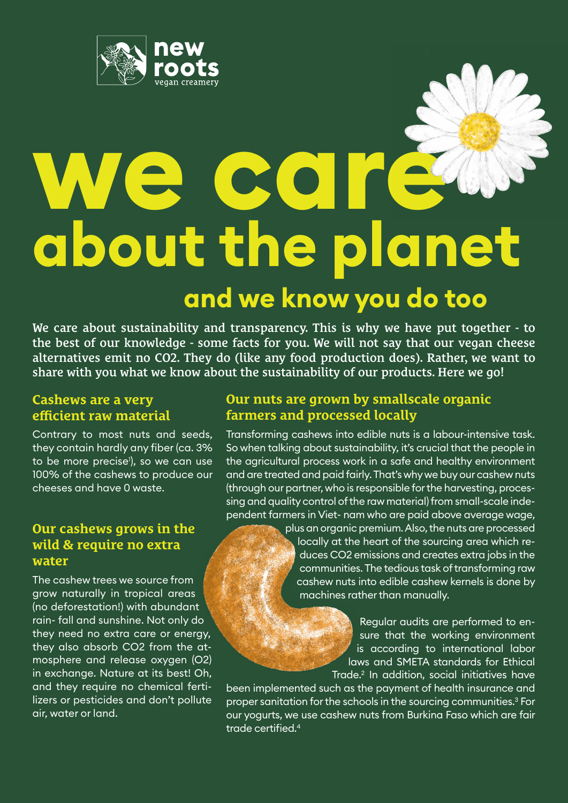

# **and we know you do too we care about the planet**

We care about sustainability and transparency. This is why we have put together - to the best of our knowledge - some facts for you. We will not say that our vegan cheese alternatives emit no CO2. They do (like any food production does). Rather, we want to share with you what we know about the sustainability of our products. Here we go!

## **Cashews are a very efficient raw material**

Contrary to most nuts and seeds, they contain hardly any fiber (ca. 3% to be more precise'), so we can use 100% of the cashews to produce our cheeses and have 0 waste.

# **Our cashews grows in the wild & require no extra water**

The cashew trees we source from grow naturally in tropical areas (no deforestation!) with abundant rain- fall and sunshine. Not only do they need no extra care or energy, they also absorb CO2 from the atmosphere and release oxygen (O2) in exchange. Nature at its best! Oh, and they require no chemical fertilizers or pesticides and don't pollute air, water or land.

# **Our nuts are grown by smallscale organic farmers and processed locally**

Transforming cashews into edible nuts is a labour-intensive task. So when talking about sustainability, it's crucial that the people in the agricultural process work in a safe and healthy environment and are treated and paid fairly. That's why we buy our cashew nuts (through our partner, who is responsible for the harvesting, processing and quality control of the raw material) from small-scale independent farmers in Viet- nam who are paid above average wage,

> plus an organic premium. Also, the nuts are processed locally at the heart of the sourcing area which reduces CO2 emissions and creates extra jobs in the communities. The tedious task of transforming raw cashew nuts into edible cashew kernels is done by machines rather than manually.

> > Regular audits are performed to ensure that the working environment is according to international labor laws and SMETA standards for Ethical Trade.2 In addition, social initiatives have

been implemented such as the payment of health insurance and proper sanitation for the schools in the sourcing communities.3 For our yogurts, we use cashew nuts from Burkina Faso which are fair trade certified.4